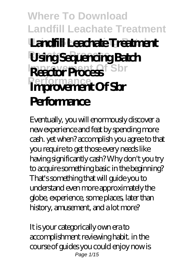#### **Where To Download Landfill Leachate Treatment Landfill Leachate Treatment Reactor Process Using Sequencing Batch Reactor Process** Sbr **Performance Improvement Of Sbr Performance**

Eventually, you will enormously discover a new experience and feat by spending more cash. yet when? accomplish you agree to that you require to get those every needs like having significantly cash? Why don't you try to acquire something basic in the beginning? That's something that will guide you to understand even more approximately the globe, experience, some places, later than history, amusement, and a lot more?

It is your categorically own era to accomplishment reviewing habit. in the course of guides you could enjoy now is Page 1/15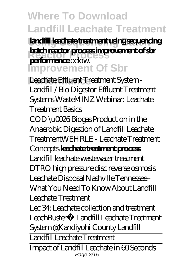**Using Sequencing Batch landfill leachate treatment using sequencing batch reactor process improvement of sbr**<br> **partners** policy **Improvement Of Sbr performance** below.

**Performance** *Leachate Effluent Treatment System - Landfill / Bio Digestor Effluent Treatment Systems* WasteMINZ Webinar: Leachate Treatment Basics

COD \u0026 Biogas Production in the Anaerobic Digestion of Landfill Leachate Treatment*WEHRLE - Leachate Treatment*

#### *Concepts* **leachate treatment process**

Landfill leachate wastewater treatment

DTRO high pressure disc reverse osmosis

Leachate Disposal Nashville Tennessee - What You Need To Know About Landfill Leachate Treatment

Lec 34: Leachate collection and treatment LeachBuster® Landfill Leachate Treatment System @Kandiyohi County Landfill

Landfill Leachate Treatment

Impact of Landfill Leachate in 60 Seconds Page 2/15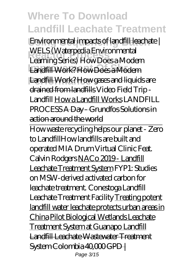**Using Sequencing Batch** *Environmental impacts of landfill leachate |* **Reactor Process** *Learning Series)* How Does a Modern Landfill Work? How Does a Modern **Performance** Landfill Work? How gases and liquids are *WELS (Waterpedia Environmental* drained from landfills *Video Field Trip - Landfill* How a Landfill Works LANDFILL PROCESS A Day - Grundfos Solutions in action around the world

How waste recycling helps our planet - Zero to Landfill*How landfills are built and operated MIA Drum Virtual Clinic Feat. Calvin Rodgers* NACo 2019 - Landfill Leachate Treatment System FYP1: Studies on MSW-derived activated carbon for leachate treatment. *Conestoga Landfill Leachate Treatment Facility* Treating potent landfill water leachate protects urban areas in China Pilot Biological Wetlands Leachate Treatment System at Guanapo Landfill Landfill Leachate Wastewater Treatment System Colombia 40,000 GPD | Page 3/15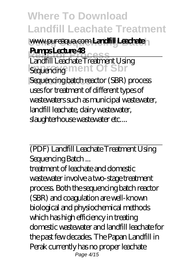#### www.pureaqua.com **Landfill Leachate Pumps Lecture 48**

**Reactor Process** Landfill Leachate Treatment Using **Isequencing ment Of Sbr** Sequencing batch reactor (SBR) process uses for treatment of different types of wastewaters such as municipal wastewater, landfill leachate, dairy wastewater, slaughterhouse wastewater etc....

(PDF) Landfill Leachate Treatment Using Sequencing Batch ...

treatment of leachate and domestic wastewater involve a two-stage treatment process. Both the sequencing batch reactor (SBR) and coagulation are well-known biological and physiochemical methods which has high efficiency in treating domestic wastewater and landfill leachate for the past few decades. The Papan Landfill in Perak currently has no proper leachate Page 4/15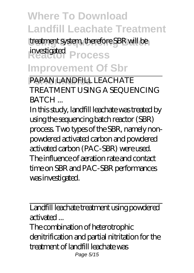treatment system, therefore SBR will be **Reactor Process** investigated **Improvement Of Sbr**

PAPAN LANDFILL LEACHATE TREATMENT USING A SEQUENCING **BATCH** 

In this study, landfill leachate was treated by using the sequencing batch reactor (SBR) process. Two types of the SBR, namely nonpowdered activated carbon and powdered activated carbon (PAC-SBR) were used. The influence of aeration rate and contact time on SBR and PAC-SBR performances was investigated.

Landfill leachate treatment using powdered activated ...

The combination of heterotrophic denitrification and partial nitritation for the treatment of landfill leachate was Page 5/15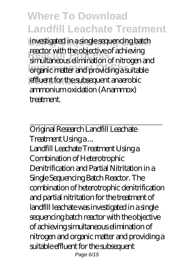**Using Sequencing Batch** investigated in a single sequencing batch reactor with the objective of achieving<br>**right** dimination of pitrosen organic matter and providing a suitable effluent for the subsequent anaerobic simultaneous elimination of nitrogen and ammonium oxidation (Anammox) treatment.

Original Research Landfill Leachate Treatment Using a ...

Landfill Leachate Treatment Using a Combination of Heterotrophic Denitrification and Partial Nitritation in a Single Sequencing Batch Reactor. The combination of heterotrophic denitrification and partial nitritation for the treatment of landfill leachate was investigated in a single sequencing batch reactor with the objective of achieving simultaneous elimination of nitrogen and organic matter and providing a suitable effluent for the subsequent Page 6/15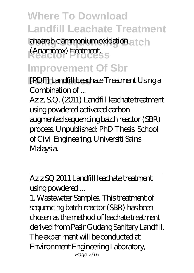anaerobic ammonium oxidation a t c h **Reactor Process** (Anammox) treatment.

## **Improvement Of Sbr**

**Performance** [PDF] Landfill Leachate Treatment Using a Combination of ...

Aziz, S.Q. (2011) Landfill leachate treatment using powdered activated carbon augmented sequencing batch reactor (SBR) process. Unpublished: PhD Thesis. School of Civil Engineering, Universiti Sains Malaysia.

Aziz SQ 2011 Landfill leachate treatment using powdered ...

1. Wastewater Samples. This treatment of sequencing batch reactor (SBR) has been chosen as the method of leachate treatment derived from Pasir Gudang Sanitary Landfill. The experiment will be conducted at Environment Engineering Laboratory, Page 7/15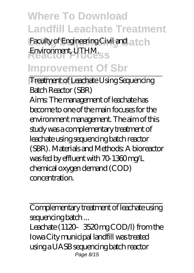Faculty of Engineering Civil and at ch **Reactor Process** Environment, UTHM.

#### **Improvement Of Sbr**

**Treatment of Leachate Using Sequencing** Batch Reactor (SBR)

Aims: The management of leachate has become to one of the main focuses for the environment management. The aim of this study was a complementary treatment of leachate using sequencing batch reactor (SBR). Materials and Methods: A bioreactor was fed by effluent with 70-1360 mg/L chemical oxygen demand (COD) concentration.

Complementary treatment of leachate using sequencing batch ...

Leachate (1120–3520 mg CODA) from the Iowa City municipal landfill was treated using a UASB sequencing batch reactor Page 8/15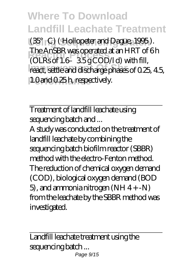**Using Sequencing Batch** (35°C) ( Hollopeter and Dague, 1995 ). **Reactor Process** (OLRs of 1.6–3.5 g COD/l d) with fill, react, settle and discharge phases of 0.25, 4.5, 1.0 and 0.25 h, respectively. The AnSBR was operated at an HRT of 6 h

Treatment of landfill leachate using sequencing batch and ...

A study was conducted on the treatment of landfill leachate by combining the sequencing batch biofilm reactor (SBBR) method with the electro-Fenton method. The reduction of chemical oxygen demand (COD), biological oxygen demand (BOD 5), and ammonia nitrogen  $(NH 4 + -N)$ from the leachate by the SBBR method was investigated.

Landfill leachate treatment using the sequencing batch ... Page 9/15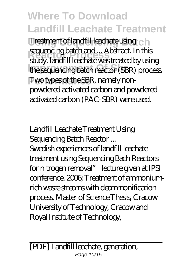Treatment of landfill leachate using ch **Requencing patentiana**... Abstract. In this<br>study, landfill leachate was treated by using the sequencing batch reactor (SBR) process. **Two types of the SBR, namely non**sequencing batch and ... Abstract. In this powdered activated carbon and powdered activated carbon (PAC-SBR) were used.

Landfill Leachate Treatment Using Sequencing Batch Reactor ...

Swedish experiences of landfill leachate treatment using Sequencing Bach Reactors for nitrogen removal" lecture given at IPSI conference. 2006; Treatment of ammoniumrich waste streams with deammonification process. Master of Science Thesis, Cracow University of Technology, Cracow and Royal Institute of Technology,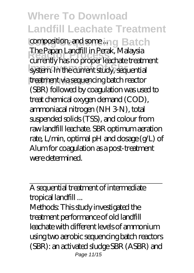composition, and some ... ng Batch **Reactor Process** currently has no proper leachate treatment system. In the current study, sequential **Performance** treatment via sequencing batch reactor The Papan Landfill in Perak, Malaysia (SBR) followed by coagulation was used to treat chemical oxygen demand (COD), ammoniacal nitrogen (NH 3-N), total suspended solids (TSS), and colour from raw landfill leachate. SBR optimum aeration rate, L/min, optimal pH and dosage (g/L) of Alum for coagulation as a post-treatment were determined.

A sequential treatment of intermediate tropical landfill ...

Methods: This study investigated the treatment performance of old landfill leachate with different levels of ammonium using two aerobic sequencing batch reactors (SBR): an activated sludge SBR (ASBR) and Page 11/15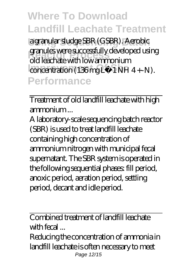**Using Sequencing Batch** a granular sludge SBR (GSBR). Aerobic granues were successiony developed<br>old leachate with low ammonium concentration (136 mg L−1 NH 4 +-N). **Performance** granules were successfully developed using

Treatment of old landfill leachate with high ammonium ...

A laboratory-scale sequencing batch reactor (SBR) is used to treat landfill leachate containing high concentration of ammonium nitrogen with municipal fecal supernatant. The SBR system is operated in the following sequential phases: fill period, anoxic period, aeration period, settling period, decant and idle period.

Combined treatment of landfill leachate with fecal ...

Reducing the concentration of ammonia in landfill leachate is often necessary to meet Page 12/15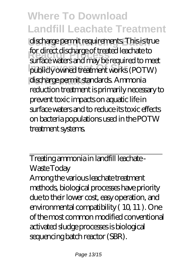discharge permit requirements. This is true **Reactor Process** surface waters and may be required to meet publicly owned treatment works (POTW) discharge permit standards. Ammonia for direct discharge of treated leachate to reduction treatment is primarily necessary to prevent toxic impacts on aquatic life in surface waters and to reduce its toxic effects on bacteria populations used in the POTW treatment systems.

Treating ammonia in landfill leachate - Waste Today

Among the various leachate treatment methods, biological processes have priority due to their lower cost, easy operation, and environmental compatibility ( 10, 11 ). One of the most common modified conventional activated sludge processes is biological sequencing batch reactor (SBR).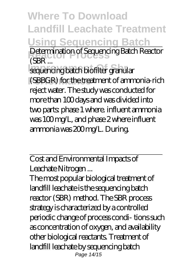**Where To Download Landfill Leachate Treatment Using Sequencing Batch** Determination of Sequencing Batch Reactor<br>CRP **Improvement Of Sequencing batch biofilter granular** (SBR ...

(SBBGR) for the treatment of ammonia-rich reject water. The study was conducted for more than 100 days and was divided into two parts: phase 1 where. influent ammonia was 100 mg/L, and phase 2 where influent ammonia was 200 mg/L. During.

Cost and Environmental Impacts of Leachate Nitrogen ...

The most popular biological treatment of landfill leachate is the sequencing batch reactor (SBR) method. The SBR process strategy is characterized by a controlled periodic change of process condi- tions such as concentration of oxygen, and availability other biological reactants. Treatment of landfill leachate by sequencing batch Page 14/15